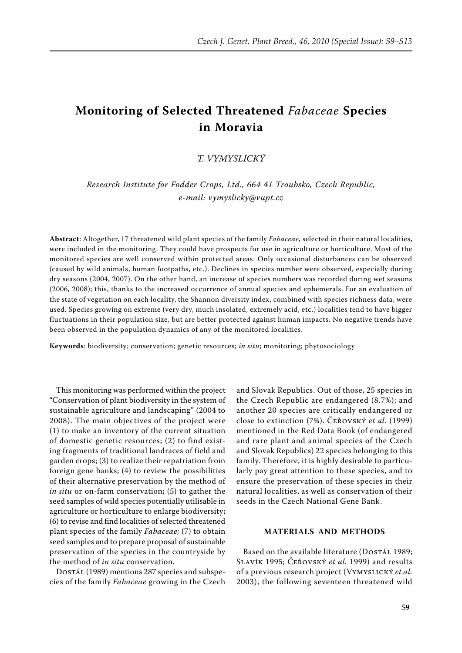# **Monitoring of Selected Threatened** *Fabaceae* **Species in Moravia**

## *T. Vymyslický*

*Research Institute for Fodder Crops, Ltd., 664 41 Troubsko, Czech Republic, e-mail: vymyslicky@vupt.cz*

**Abstract**: Altogether, 17 threatened wild plant species of the family *Fabaceae,* selected in their natural localities, were included in the monitoring. They could have prospects for use in agriculture or horticulture. Most of the monitored species are well conserved within protected areas. Only occasional disturbances can be observed (caused by wild animals, human footpaths, etc.). Declines in species number were observed, especially during dry seasons (2004, 2007). On the other hand, an increase of species numbers was recorded during wet seasons (2006, 2008); this, thanks to the increased occurrence of annual species and ephemerals. For an evaluation of the state of vegetation on each locality, the Shannon diversity index, combined with species richness data, were used. Species growing on extreme (very dry, much insolated, extremely acid, etc.) localities tend to have bigger fluctuations in their population size, but are better protected against human impacts. No negative trends have been observed in the population dynamics of any of the monitored localities.

**Keywords**: biodiversity; conservation; genetic resources; *in situ*; monitoring; phytosociology

This monitoring was performed within the project "Conservation of plant biodiversity in the system of sustainable agriculture and landscaping" (2004 to 2008). The main objectives of the project were (1) to make an inventory of the current situation of domestic genetic resources; (2) to find existing fragments of traditional landraces of field and garden crops; (3) to realize their repatriation from foreign gene banks; (4) to review the possibilities of their alternative preservation by the method of *in situ* or on-farm conservation; (5) to gather the seed samples of wild species potentially utilisable in agriculture or horticulture to enlarge biodiversity; (6) to revise and find localities of selected threatened plant species of the family *Fabaceae;* (7) to obtain seed samples and to prepare proposal of sustainable preservation of the species in the countryside by the method of *in situ* conservation.

Dostál (1989) mentions 287 species and subspecies of the family *Fabaceae* growing in the Czech

and Slovak Republics. Out of those, 25 species in the Czech Republic are endangered (8.7%); and another 20 species are critically endangered or close to extinction (7%). Čeřovský *et al.* (1999) mentioned in the Red Data Book (of endangered and rare plant and animal species of the Czech and Slovak Republics) 22 species belonging to this family. Therefore, it is highly desirable to particularly pay great attention to these species, and to ensure the preservation of these species in their natural localities, as well as conservation of their seeds in the Czech National Gene Bank.

## **Materials and methods**

Based on the available literature (DOSTÁL 1989; Slavík 1995; Čeřovský *et al.* 1999) and results of a previous research project (Vymyslický *et al.* 2003), the following seventeen threatened wild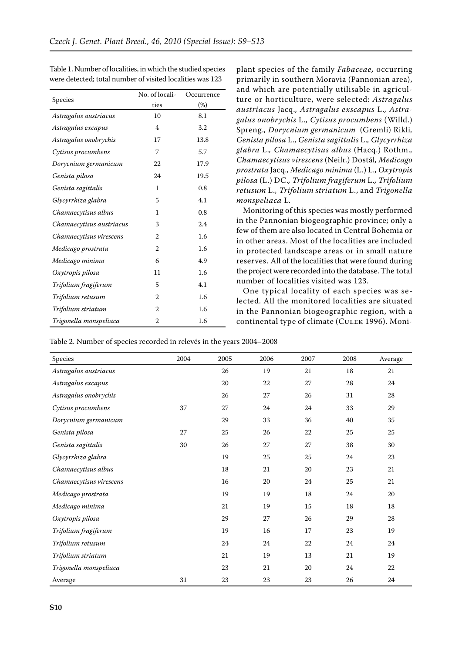|                          | No. of locali- | Occurrence |  |
|--------------------------|----------------|------------|--|
| Species                  | ties           | $(\%)$     |  |
| Astragalus austriacus    | 10             | 8.1        |  |
| Astragalus excapus       | $\overline{4}$ | 3.2        |  |
| Astragalus onobrychis    | 17             | 13.8       |  |
| Cytisus procumbens       | 7              | 5.7        |  |
| Dorycnium germanicum     | 22             | 17.9       |  |
| Genista pilosa           | 24             | 19.5       |  |
| Genista sagittalis       | 1              | 0.8        |  |
| Glycyrrhiza glabra       | 5              | 4.1        |  |
| Chamaecytisus albus      | 1              | 0.8        |  |
| Chamaecytisus austriacus | 3              | 2.4        |  |
| Chamaecytisus virescens  | $\overline{2}$ | 1.6        |  |
| Medicago prostrata       | $\overline{2}$ | 1.6        |  |
| Medicago minima          | 6              | 4.9        |  |
| Oxytropis pilosa         | 11             | 1.6        |  |
| Trifolium fragiferum     | 5              | 4.1        |  |
| Trifolium retusum        | $\overline{2}$ | 1.6        |  |
| Trifolium striatum       | $\overline{2}$ | 1.6        |  |
| Trigonella monspeliaca   | $\overline{2}$ | 1.6        |  |

Table 1. Number of localities, in which the studied species were detected; total number of visited localities was 123

plant species of the family *Fabaceae,* occurring primarily in southern Moravia (Pannonian area), and which are potentially utilisable in agriculture or horticulture, were selected: *Astragalus austriacus* Jacq.*, Astragalus exscapus* L.*, Astragalus onobrychis* L.*, Cytisus procumbens* (Willd.) Spreng.*, Dorycnium germanicum* (Gremli) Rikli*, Genista pilosa* L.*, Genista sagittalis* L.*, Glycyrrhiza glabra* L.*, Chamaecytisus albus* (Hacq.) Rothm.*, Chamaecytisus virescens* (Neilr.) Dostál*, Medicago prostrata* Jacq.*, Medicago minima* (L.) L.*, Oxytropis pilosa* (L.) DC.*, Trifolium fragiferum* L.*, Trifolium retusum* L.*, Trifolium striatum* L., and *Trigonella monspeliaca* L*.*

Monitoring of this species was mostly performed in the Pannonian biogeographic province; only a few of them are also located in Central Bohemia or in other areas. Most of the localities are included in protected landscape areas or in small nature reserves. All of the localities that were found during the project were recorded into the database. The total number of localities visited was 123.

One typical locality of each species was selected. All the monitored localities are situated in the Pannonian biogeographic region, with a continental type of climate (Culek 1996). Moni-

Table 2. Number of species recorded in relevés in the years 2004–2008

| Species                 | 2004 | 2005   | 2006   | 2007 | 2008   | Average |
|-------------------------|------|--------|--------|------|--------|---------|
| Astragalus austriacus   |      | 26     | 19     | 21   | 18     | 21      |
| Astragalus excapus      |      | 20     | 22     | 27   | 28     | 24      |
| Astragalus onobrychis   |      | 26     | 27     | 26   | 31     | 28      |
| Cytisus procumbens      | 37   | 27     | 24     | 24   | 33     | 29      |
| Dorycnium germanicum    |      | 29     | 33     | 36   | 40     | 35      |
| Genista pilosa          | 27   | 25     | 26     | 22   | 25     | 25      |
| Genista sagittalis      | 30   | 26     | 27     | 27   | 38     | 30      |
| Glycyrrhiza glabra      |      | 19     | 25     | 25   | 24     | 23      |
| Chamaecytisus albus     |      | $18\,$ | 21     | 20   | 23     | 21      |
| Chamaecytisus virescens |      | 16     | 20     | 24   | $25\,$ | 21      |
| Medicago prostrata      |      | 19     | 19     | 18   | 24     | 20      |
| Medicago minima         |      | 21     | 19     | 15   | 18     | 18      |
| Oxytropis pilosa        |      | 29     | 27     | 26   | 29     | 28      |
| Trifolium fragiferum    |      | 19     | 16     | 17   | 23     | 19      |
| Trifolium retusum       |      | 24     | 24     | 22   | 24     | 24      |
| Trifolium striatum      |      | 21     | 19     | 13   | 21     | 19      |
| Trigonella monspeliaca  |      | 23     | 21     | 20   | 24     | 22      |
| Average                 | 31   | $23\,$ | $23\,$ | 23   | 26     | 24      |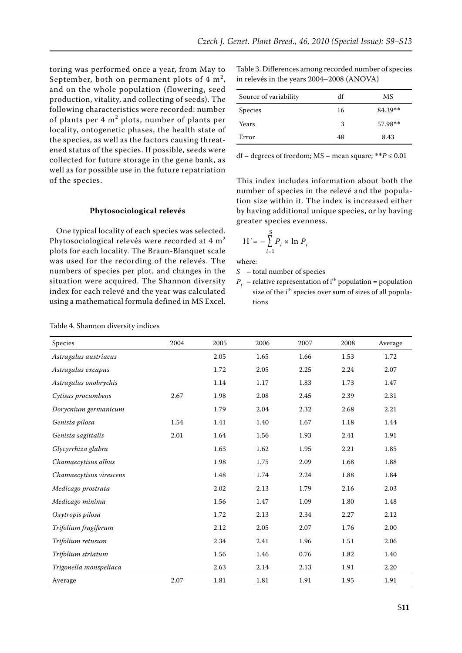toring was performed once a year, from May to September, both on permanent plots of  $4 \text{ m}^2$ , and on the whole population (flowering, seed production, vitality, and collecting of seeds). The following characteristics were recorded: number of plants per  $4 \text{ m}^2$  plots, number of plants per locality, ontogenetic phases, the health state of the species, as well as the factors causing threatened status of the species. If possible, seeds were collected for future storage in the gene bank, as well as for possible use in the future repatriation of the species.

#### **Phytosociological relevés**

One typical locality of each species was selected. Phytosociological relevés were recorded at 4 m<sup>2</sup> plots for each locality. The Braun-Blanquet scale was used for the recording of the relevés. The numbers of species per plot, and changes in the situation were acquired. The Shannon diversity index for each relevé and the year was calculated using a mathematical formula defined in MS Excel.

Table 3. Differences among recorded number of species in relevés in the years 2004–2008 (ANOVA)

| Source of variability | df | MS      |
|-----------------------|----|---------|
| <b>Species</b>        | 16 | 84.39** |
| Years                 | 3  | 57.98** |
| Error                 | 48 | 8.43    |

df – degrees of freedom; MS – mean square; \*\**P* ≤ 0.01

This index includes information about both the number of species in the relevé and the population size within it. The index is increased either by having additional unique species, or by having greater species evenness.

$$
H' = -\sum_{i=1}^{S} P_i \times \ln P_i
$$

where:

*S* – total number of species

 $P_i$  – relative representation of i<sup>th</sup> population = population size of the i<sup>th</sup> species over sum of sizes of all populations

| Species                 | 2004 | 2005 | 2006 | 2007 | 2008     | Average |
|-------------------------|------|------|------|------|----------|---------|
| Astragalus austriacus   |      | 2.05 | 1.65 | 1.66 | 1.53     | 1.72    |
| Astragalus excapus      |      | 1.72 | 2.05 | 2.25 | 2.24     | 2.07    |
| Astragalus onobrychis   |      | 1.14 | 1.17 | 1.83 | 1.73     | 1.47    |
| Cytisus procumbens      | 2.67 | 1.98 | 2.08 | 2.45 | 2.39     | 2.31    |
| Dorycnium germanicum    |      | 1.79 | 2.04 | 2.32 | 2.68     | 2.21    |
| Genista pilosa          | 1.54 | 1.41 | 1.40 | 1.67 | $1.18\,$ | 1.44    |
| Genista sagittalis      | 2.01 | 1.64 | 1.56 | 1.93 | 2.41     | 1.91    |
| Glycyrrhiza glabra      |      | 1.63 | 1.62 | 1.95 | 2.21     | 1.85    |
| Chamaecytisus albus     |      | 1.98 | 1.75 | 2.09 | 1.68     | 1.88    |
| Chamaecytisus virescens |      | 1.48 | 1.74 | 2.24 | 1.88     | 1.84    |
| Medicago prostrata      |      | 2.02 | 2.13 | 1.79 | 2.16     | 2.03    |
| Medicago minima         |      | 1.56 | 1.47 | 1.09 | 1.80     | 1.48    |
| Oxytropis pilosa        |      | 1.72 | 2.13 | 2.34 | 2.27     | 2.12    |
| Trifolium fragiferum    |      | 2.12 | 2.05 | 2.07 | 1.76     | 2.00    |
| Trifolium retusum       |      | 2.34 | 2.41 | 1.96 | 1.51     | 2.06    |
| Trifolium striatum      |      | 1.56 | 1.46 | 0.76 | 1.82     | 1.40    |
| Trigonella monspeliaca  |      | 2.63 | 2.14 | 2.13 | 1.91     | 2.20    |
| Average                 | 2.07 | 1.81 | 1.81 | 1.91 | 1.95     | 1.91    |

Table 4. Shannon diversity indices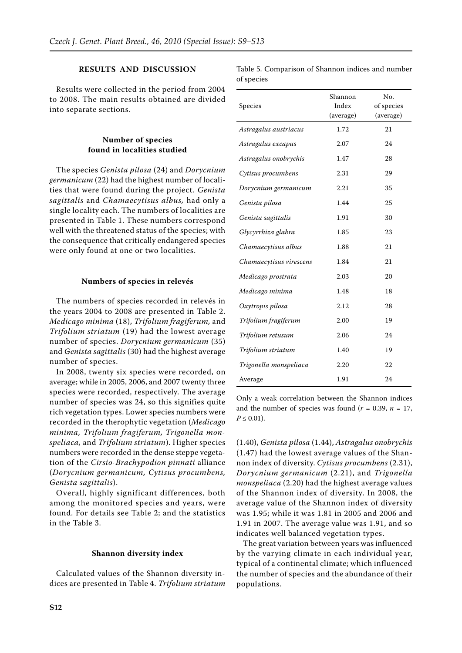## **Results and discussion**

Results were collected in the period from 2004 to 2008. The main results obtained are divided into separate sections.

## **Number of species found in localities studied**

The species *Genista pilosa* (24) and *Dorycnium germanicum* (22) had the highest number of localities that were found during the project. *Genista sagittalis* and *Chamaecytisus albus,* had only a single locality each. The numbers of localities are presented in Table 1. These numbers correspond well with the threatened status of the species; with the consequence that critically endangered species were only found at one or two localities.

#### **Numbers of species in relevés**

The numbers of species recorded in relevés in the years 2004 to 2008 are presented in Table 2. *Medicago minima* (18), *Trifolium fragiferum,* and *Trifolium striatum* (19) had the lowest average number of species. *Dorycnium germanicum* (35) and *Genista sagittalis* (30) had the highest average number of species.

In 2008, twenty six species were recorded, on average; while in 2005, 2006, and 2007 twenty three species were recorded, respectively. The average number of species was 24, so this signifies quite rich vegetation types. Lower species numbers were recorded in the therophytic vegetation (*Medicago minima, Trifolium fragiferum, Trigonella monspeliaca,* and *Trifolium striatum*). Higher species numbers were recorded in the dense steppe vegetation of the *Cirsio-Brachypodion pinnati* alliance (*Dorycnium germanicum, Cytisus procumbens, Genista sagittalis*).

Overall, highly significant differences, both among the monitored species and years, were found. For details see Table 2; and the statistics in the Table 3.

#### **Shannon diversity index**

Calculated values of the Shannon diversity indices are presented in Table 4. *Trifolium striatum* Table 5. Comparison of Shannon indices and number of species

| Species                 | Shannon<br>Index<br>(average) | No.<br>of species<br>(average) |
|-------------------------|-------------------------------|--------------------------------|
| Astragalus austriacus   | 1.72                          | 21                             |
| Astragalus excapus      | 2.07                          | 24                             |
| Astragalus onobrychis   | 1.47                          | 28                             |
| Cytisus procumbens      | 2.31                          | 29                             |
| Dorycnium germanicum    | 2.21                          | 35                             |
| Genista pilosa          | 1.44                          | 25                             |
| Genista sagittalis      | 1.91                          | 30                             |
| Glycyrrhiza glabra      | 1.85                          | 23                             |
| Chamaecytisus albus     | 1.88                          | 21                             |
| Chamaecytisus virescens | 1.84                          | 21                             |
| Medicago prostrata      | 2.03                          | 20                             |
| Medicago minima         | 1.48                          | 18                             |
| Oxytropis pilosa        | 2.12                          | 28                             |
| Trifolium fragiferum    | 2.00                          | 19                             |
| Trifolium retusum       | 2.06                          | 24                             |
| Trifolium striatum      | 1.40                          | 19                             |
| Trigonella monspeliaca  | 2.20                          | 22                             |
| Average                 | 1.91                          | 24                             |

Only a weak correlation between the Shannon indices and the number of species was found  $(r = 0.39, n = 17,$  $P \leq 0.01$ ).

(1.40), *Genista pilosa* (1.44), *Astragalus onobrychis*  (1.47) had the lowest average values of the Shannon index of diversity. *Cytisus procumbens* (2.31), *Dorycnium germanicum* (2.21), and *Trigonella monspeliaca* (2.20) had the highest average values of the Shannon index of diversity. In 2008, the average value of the Shannon index of diversity was 1.95; while it was 1.81 in 2005 and 2006 and 1.91 in 2007. The average value was 1.91, and so indicates well balanced vegetation types.

The great variation between years was influenced by the varying climate in each individual year, typical of a continental climate; which influenced the number of species and the abundance of their populations.